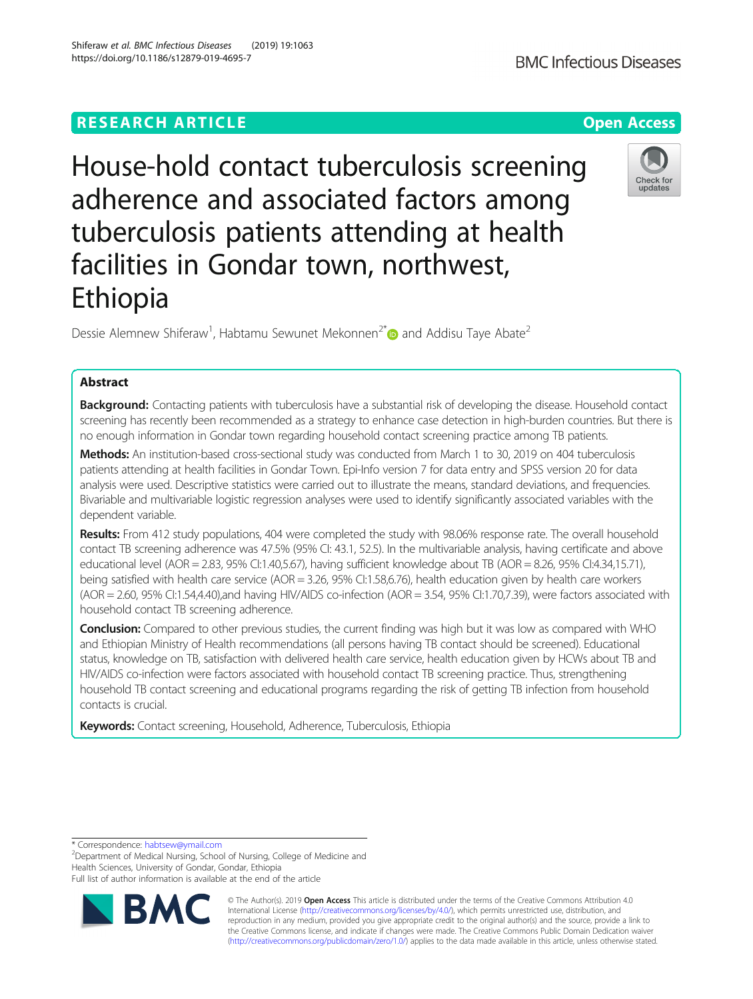# **RESEARCH ARTICLE Example 2014 12:30 The Contract of Contract ACCESS**

House-hold contact tuberculosis screening adherence and associated factors among tuberculosis patients attending at health facilities in Gondar town, northwest, Ethiopia

Dessie Alemnew Shiferaw<sup>1</sup>, Habtamu Sewunet Mekonnen<sup>2[\\*](http://orcid.org/0000-0001-9396-7437)</sup> and Addisu Taye Abate<sup>2</sup>

# Abstract

Background: Contacting patients with tuberculosis have a substantial risk of developing the disease. Household contact screening has recently been recommended as a strategy to enhance case detection in high-burden countries. But there is no enough information in Gondar town regarding household contact screening practice among TB patients.

Methods: An institution-based cross-sectional study was conducted from March 1 to 30, 2019 on 404 tuberculosis patients attending at health facilities in Gondar Town. Epi-Info version 7 for data entry and SPSS version 20 for data analysis were used. Descriptive statistics were carried out to illustrate the means, standard deviations, and frequencies. Bivariable and multivariable logistic regression analyses were used to identify significantly associated variables with the dependent variable.

Results: From 412 study populations, 404 were completed the study with 98.06% response rate. The overall household contact TB screening adherence was 47.5% (95% CI: 43.1, 52.5). In the multivariable analysis, having certificate and above educational level (AOR = 2.83, 95% CI:1.40,5.67), having sufficient knowledge about TB (AOR = 8.26, 95% CI:4.34,15.71), being satisfied with health care service (AOR = 3.26, 95% CI:1.58,6.76), health education given by health care workers (AOR = 2.60, 95% CI:1.54,4.40),and having HIV/AIDS co-infection (AOR = 3.54, 95% CI:1.70,7.39), were factors associated with household contact TB screening adherence.

**Conclusion:** Compared to other previous studies, the current finding was high but it was low as compared with WHO and Ethiopian Ministry of Health recommendations (all persons having TB contact should be screened). Educational status, knowledge on TB, satisfaction with delivered health care service, health education given by HCWs about TB and HIV/AIDS co-infection were factors associated with household contact TB screening practice. Thus, strengthening household TB contact screening and educational programs regarding the risk of getting TB infection from household contacts is crucial.

Keywords: Contact screening, Household, Adherence, Tuberculosis, Ethiopia

\* Correspondence: [habtsew@ymail.com](mailto:habtsew@ymail.com) <sup>2</sup>

<sup>2</sup>Department of Medical Nursing, School of Nursing, College of Medicine and Health Sciences, University of Gondar, Gondar, Ethiopia

Full list of author information is available at the end of the article



© The Author(s). 2019 **Open Access** This article is distributed under the terms of the Creative Commons Attribution 4.0 International License [\(http://creativecommons.org/licenses/by/4.0/](http://creativecommons.org/licenses/by/4.0/)), which permits unrestricted use, distribution, and reproduction in any medium, provided you give appropriate credit to the original author(s) and the source, provide a link to the Creative Commons license, and indicate if changes were made. The Creative Commons Public Domain Dedication waiver [\(http://creativecommons.org/publicdomain/zero/1.0/](http://creativecommons.org/publicdomain/zero/1.0/)) applies to the data made available in this article, unless otherwise stated.



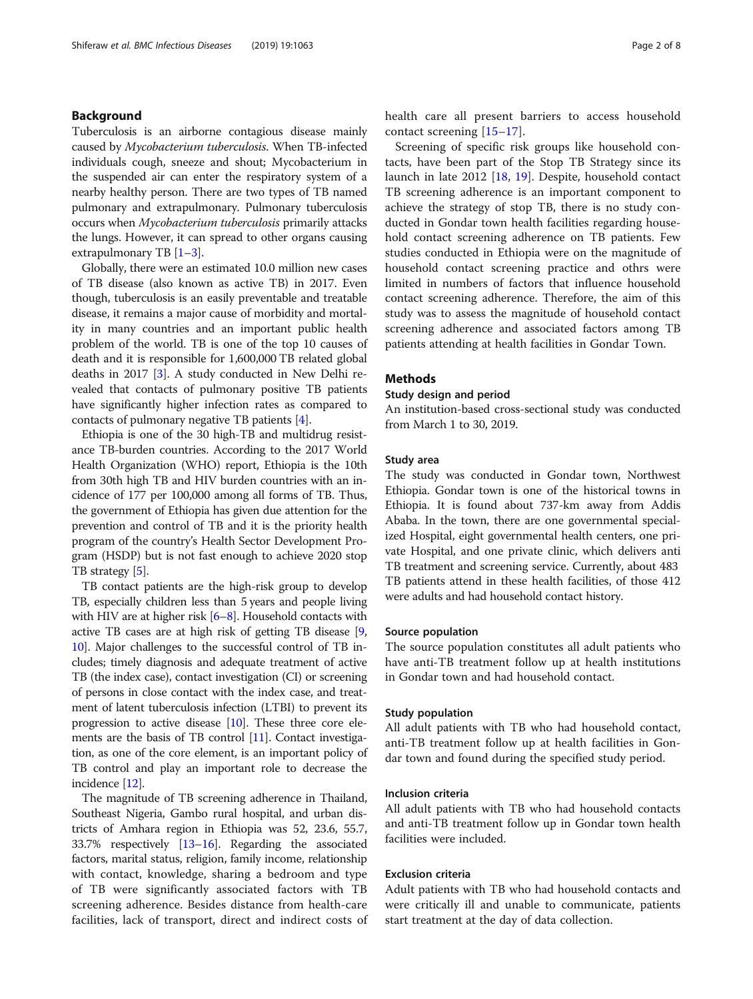### Background

Tuberculosis is an airborne contagious disease mainly caused by Mycobacterium tuberculosis. When TB-infected individuals cough, sneeze and shout; Mycobacterium in the suspended air can enter the respiratory system of a nearby healthy person. There are two types of TB named pulmonary and extrapulmonary. Pulmonary tuberculosis occurs when Mycobacterium tuberculosis primarily attacks the lungs. However, it can spread to other organs causing extrapulmonary TB [[1](#page-6-0)–[3](#page-6-0)].

Globally, there were an estimated 10.0 million new cases of TB disease (also known as active TB) in 2017. Even though, tuberculosis is an easily preventable and treatable disease, it remains a major cause of morbidity and mortality in many countries and an important public health problem of the world. TB is one of the top 10 causes of death and it is responsible for 1,600,000 TB related global deaths in 2017 [\[3\]](#page-6-0). A study conducted in New Delhi revealed that contacts of pulmonary positive TB patients have significantly higher infection rates as compared to contacts of pulmonary negative TB patients [\[4](#page-6-0)].

Ethiopia is one of the 30 high-TB and multidrug resistance TB-burden countries. According to the 2017 World Health Organization (WHO) report, Ethiopia is the 10th from 30th high TB and HIV burden countries with an incidence of 177 per 100,000 among all forms of TB. Thus, the government of Ethiopia has given due attention for the prevention and control of TB and it is the priority health program of the country's Health Sector Development Program (HSDP) but is not fast enough to achieve 2020 stop TB strategy [\[5\]](#page-6-0).

TB contact patients are the high-risk group to develop TB, especially children less than 5 years and people living with HIV are at higher risk  $[6-8]$  $[6-8]$  $[6-8]$  $[6-8]$ . Household contacts with active TB cases are at high risk of getting TB disease [[9](#page-6-0), [10](#page-7-0)]. Major challenges to the successful control of TB includes; timely diagnosis and adequate treatment of active TB (the index case), contact investigation (CI) or screening of persons in close contact with the index case, and treatment of latent tuberculosis infection (LTBI) to prevent its progression to active disease [\[10\]](#page-7-0). These three core ele-ments are the basis of TB control [\[11](#page-7-0)]. Contact investigation, as one of the core element, is an important policy of TB control and play an important role to decrease the incidence [[12](#page-7-0)].

The magnitude of TB screening adherence in Thailand, Southeast Nigeria, Gambo rural hospital, and urban districts of Amhara region in Ethiopia was 52, 23.6, 55.7, 33.7% respectively [\[13](#page-7-0)–[16](#page-7-0)]. Regarding the associated factors, marital status, religion, family income, relationship with contact, knowledge, sharing a bedroom and type of TB were significantly associated factors with TB screening adherence. Besides distance from health-care facilities, lack of transport, direct and indirect costs of health care all present barriers to access household contact screening [[15](#page-7-0)–[17](#page-7-0)].

Screening of specific risk groups like household contacts, have been part of the Stop TB Strategy since its launch in late 2012 [[18,](#page-7-0) [19](#page-7-0)]. Despite, household contact TB screening adherence is an important component to achieve the strategy of stop TB, there is no study conducted in Gondar town health facilities regarding household contact screening adherence on TB patients. Few studies conducted in Ethiopia were on the magnitude of household contact screening practice and othrs were limited in numbers of factors that influence household contact screening adherence. Therefore, the aim of this study was to assess the magnitude of household contact screening adherence and associated factors among TB patients attending at health facilities in Gondar Town.

### Methods

### Study design and period

An institution-based cross-sectional study was conducted from March 1 to 30, 2019.

# Study area

The study was conducted in Gondar town, Northwest Ethiopia. Gondar town is one of the historical towns in Ethiopia. It is found about 737-km away from Addis Ababa. In the town, there are one governmental specialized Hospital, eight governmental health centers, one private Hospital, and one private clinic, which delivers anti TB treatment and screening service. Currently, about 483 TB patients attend in these health facilities, of those 412 were adults and had household contact history.

### Source population

The source population constitutes all adult patients who have anti-TB treatment follow up at health institutions in Gondar town and had household contact.

### Study population

All adult patients with TB who had household contact, anti-TB treatment follow up at health facilities in Gondar town and found during the specified study period.

### Inclusion criteria

All adult patients with TB who had household contacts and anti-TB treatment follow up in Gondar town health facilities were included.

### Exclusion criteria

Adult patients with TB who had household contacts and were critically ill and unable to communicate, patients start treatment at the day of data collection.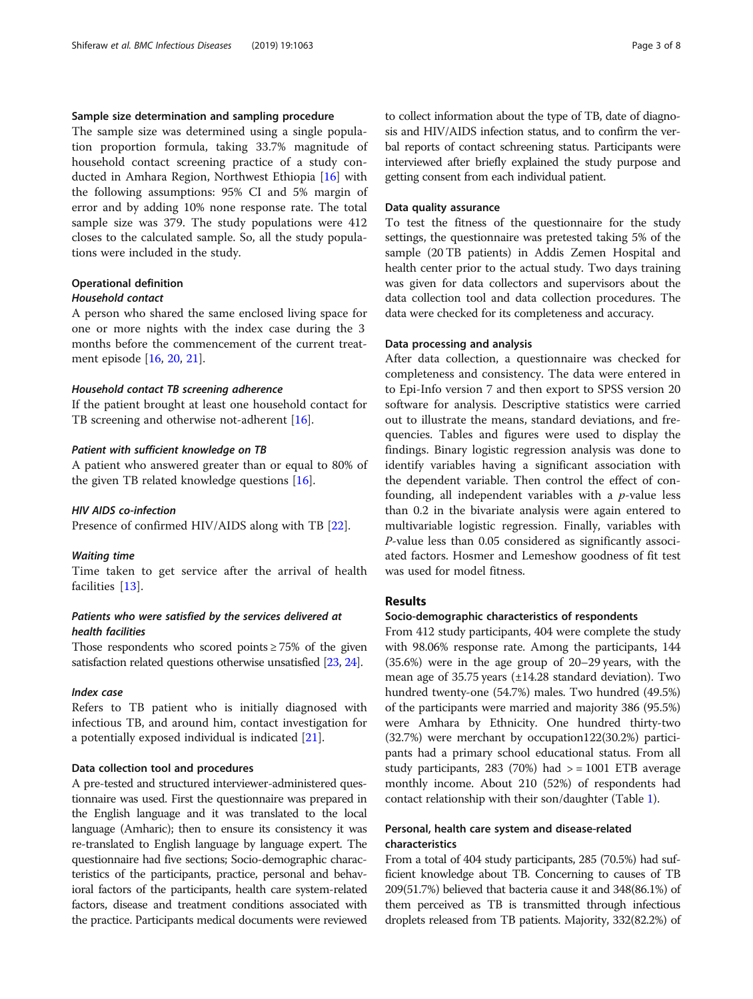### Sample size determination and sampling procedure

The sample size was determined using a single population proportion formula, taking 33.7% magnitude of household contact screening practice of a study conducted in Amhara Region, Northwest Ethiopia [\[16](#page-7-0)] with the following assumptions: 95% CI and 5% margin of error and by adding 10% none response rate. The total sample size was 379. The study populations were 412 closes to the calculated sample. So, all the study populations were included in the study.

# Operational definition

# Household contact

A person who shared the same enclosed living space for one or more nights with the index case during the 3 months before the commencement of the current treatment episode [[16](#page-7-0), [20](#page-7-0), [21](#page-7-0)].

### Household contact TB screening adherence

If the patient brought at least one household contact for TB screening and otherwise not-adherent [\[16](#page-7-0)].

### Patient with sufficient knowledge on TB

A patient who answered greater than or equal to 80% of the given TB related knowledge questions [\[16](#page-7-0)].

### HIV AIDS co-infection

Presence of confirmed HIV/AIDS along with TB [\[22](#page-7-0)].

### Waiting time

Time taken to get service after the arrival of health facilities [[13](#page-7-0)].

# Patients who were satisfied by the services delivered at health facilities

Those respondents who scored points  $\geq$  75% of the given satisfaction related questions otherwise unsatisfied [[23](#page-7-0), [24](#page-7-0)].

### Index case

Refers to TB patient who is initially diagnosed with infectious TB, and around him, contact investigation for a potentially exposed individual is indicated [[21\]](#page-7-0).

#### Data collection tool and procedures

A pre-tested and structured interviewer-administered questionnaire was used. First the questionnaire was prepared in the English language and it was translated to the local language (Amharic); then to ensure its consistency it was re-translated to English language by language expert. The questionnaire had five sections; Socio-demographic characteristics of the participants, practice, personal and behavioral factors of the participants, health care system-related factors, disease and treatment conditions associated with the practice. Participants medical documents were reviewed to collect information about the type of TB, date of diagnosis and HIV/AIDS infection status, and to confirm the verbal reports of contact schreening status. Participants were interviewed after briefly explained the study purpose and getting consent from each individual patient.

### Data quality assurance

To test the fitness of the questionnaire for the study settings, the questionnaire was pretested taking 5% of the sample (20 TB patients) in Addis Zemen Hospital and health center prior to the actual study. Two days training was given for data collectors and supervisors about the data collection tool and data collection procedures. The data were checked for its completeness and accuracy.

### Data processing and analysis

After data collection, a questionnaire was checked for completeness and consistency. The data were entered in to Epi-Info version 7 and then export to SPSS version 20 software for analysis. Descriptive statistics were carried out to illustrate the means, standard deviations, and frequencies. Tables and figures were used to display the findings. Binary logistic regression analysis was done to identify variables having a significant association with the dependent variable. Then control the effect of confounding, all independent variables with a  $p$ -value less than 0.2 in the bivariate analysis were again entered to multivariable logistic regression. Finally, variables with P-value less than 0.05 considered as significantly associated factors. Hosmer and Lemeshow goodness of fit test was used for model fitness.

### Results

### Socio-demographic characteristics of respondents

From 412 study participants, 404 were complete the study with 98.06% response rate. Among the participants, 144 (35.6%) were in the age group of 20–29 years, with the mean age of 35.75 years (±14.28 standard deviation). Two hundred twenty-one (54.7%) males. Two hundred (49.5%) of the participants were married and majority 386 (95.5%) were Amhara by Ethnicity. One hundred thirty-two (32.7%) were merchant by occupation122(30.2%) participants had a primary school educational status. From all study participants, 283 (70%) had  $>$  = 1001 ETB average monthly income. About 210 (52%) of respondents had contact relationship with their son/daughter (Table [1\)](#page-3-0).

# Personal, health care system and disease-related characteristics

From a total of 404 study participants, 285 (70.5%) had sufficient knowledge about TB. Concerning to causes of TB 209(51.7%) believed that bacteria cause it and 348(86.1%) of them perceived as TB is transmitted through infectious droplets released from TB patients. Majority, 332(82.2%) of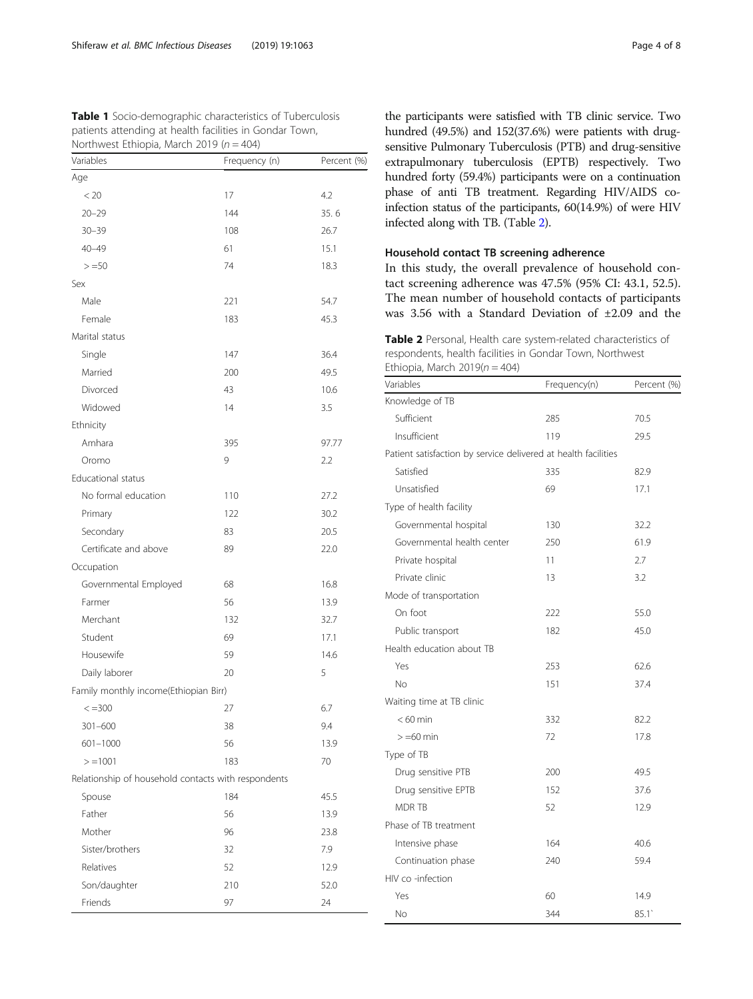<span id="page-3-0"></span>

| Table 1 Socio-demographic characteristics of Tuberculosis |
|-----------------------------------------------------------|
| patients attending at health facilities in Gondar Town,   |
| Northwest Ethiopia, March 2019 ( $n = 404$ )              |

| Variables                                           | Frequency (n) | Percent (%) |
|-----------------------------------------------------|---------------|-------------|
| Age                                                 |               |             |
| < 20                                                | 17            | 4.2         |
| $20 - 29$                                           | 144           | 35.6        |
| $30 - 39$                                           | 108           | 26.7        |
| $40 - 49$                                           | 61            | 15.1        |
| $> = 50$                                            | 74            | 18.3        |
| Sex                                                 |               |             |
| Male                                                | 221           | 54.7        |
| Female                                              | 183           | 45.3        |
| Marital status                                      |               |             |
| Single                                              | 147           | 36.4        |
| Married                                             | 200           | 49.5        |
| Divorced                                            | 43            | 10.6        |
| Widowed                                             | 14            | 3.5         |
| Ethnicity                                           |               |             |
| Amhara                                              | 395           | 97.77       |
| Oromo                                               | 9             | 2.2         |
| <b>Educational status</b>                           |               |             |
| No formal education                                 | 110           | 27.2        |
| Primary                                             | 122           | 30.2        |
| Secondary                                           | 83            | 20.5        |
| Certificate and above                               | 89            | 22.0        |
| Occupation                                          |               |             |
| Governmental Employed                               | 68            | 16.8        |
| Farmer                                              | 56            | 13.9        |
| Merchant                                            | 132           | 32.7        |
| Student                                             | 69            | 17.1        |
| Housewife                                           | 59            | 14.6        |
| Daily laborer                                       | 20            | 5           |
| Family monthly income(Ethiopian Birr)               |               |             |
| $\leq$ = 300                                        | 27            | 6.7         |
| $301 - 600$                                         | 38            | 9.4         |
| $601 - 1000$                                        | 56            | 13.9        |
| $> = 1001$                                          | 183           | 70          |
| Relationship of household contacts with respondents |               |             |
| Spouse                                              | 184           | 45.5        |
| Father                                              | 56            | 13.9        |
| Mother                                              | 96            | 23.8        |
| Sister/brothers                                     | 32            | 7.9         |
| Relatives                                           | 52            | 12.9        |
| Son/daughter                                        | 210           | 52.0        |
| Friends                                             | 97            | 24          |

the participants were satisfied with TB clinic service. Two hundred (49.5%) and 152(37.6%) were patients with drugsensitive Pulmonary Tuberculosis (PTB) and drug-sensitive extrapulmonary tuberculosis (EPTB) respectively. Two hundred forty (59.4%) participants were on a continuation phase of anti TB treatment. Regarding HIV/AIDS coinfection status of the participants, 60(14.9%) of were HIV infected along with TB. (Table 2).

# Household contact TB screening adherence

In this study, the overall prevalence of household contact screening adherence was 47.5% (95% CI: 43.1, 52.5). The mean number of household contacts of participants was 3.56 with a Standard Deviation of ±2.09 and the

Table 2 Personal, Health care system-related characteristics of respondents, health facilities in Gondar Town, Northwest Ethiopia, March  $2019(n = 404)$ 

| Variables                                                      | Frequency(n) | Percent (%) |
|----------------------------------------------------------------|--------------|-------------|
| Knowledge of TB                                                |              |             |
| Sufficient                                                     | 285          | 70.5        |
| Insufficient                                                   | 119          | 29.5        |
| Patient satisfaction by service delivered at health facilities |              |             |
| Satisfied                                                      | 335          | 82.9        |
| Unsatisfied                                                    | 69           | 17.1        |
| Type of health facility                                        |              |             |
| Governmental hospital                                          | 130          | 32.2        |
| Governmental health center                                     | 250          | 61.9        |
| Private hospital                                               | 11           | 2.7         |
| Private clinic                                                 | 13           | 3.2         |
| Mode of transportation                                         |              |             |
| On foot                                                        | 222          | 55.0        |
| Public transport                                               | 182          | 45.0        |
| Health education about TB                                      |              |             |
| Yes                                                            | 253          | 62.6        |
| No                                                             | 151          | 37.4        |
| Waiting time at TB clinic                                      |              |             |
| $< 60$ min                                                     | 332          | 82.2        |
| $> = 60$ min                                                   | 72           | 17.8        |
| Type of TB                                                     |              |             |
| Drug sensitive PTB                                             | 200          | 49.5        |
| Drug sensitive EPTB                                            | 152          | 37.6        |
| <b>MDR TB</b>                                                  | 52           | 12.9        |
| Phase of TB treatment                                          |              |             |
| Intensive phase                                                | 164          | 40.6        |
| Continuation phase                                             | 240          | 59.4        |
| HIV co -infection                                              |              |             |
| Yes                                                            | 60           | 14.9        |
| No                                                             | 344          | 85.1        |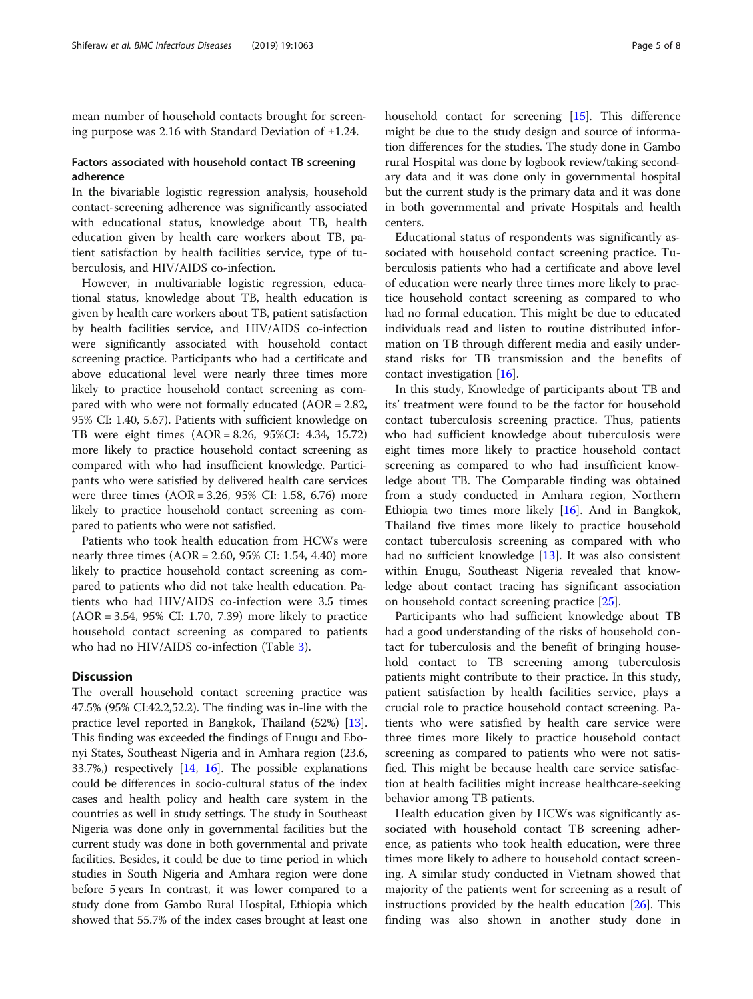mean number of household contacts brought for screening purpose was 2.16 with Standard Deviation of ±1.24.

# Factors associated with household contact TB screening adherence

In the bivariable logistic regression analysis, household contact-screening adherence was significantly associated with educational status, knowledge about TB, health education given by health care workers about TB, patient satisfaction by health facilities service, type of tuberculosis, and HIV/AIDS co-infection.

However, in multivariable logistic regression, educational status, knowledge about TB, health education is given by health care workers about TB, patient satisfaction by health facilities service, and HIV/AIDS co-infection were significantly associated with household contact screening practice. Participants who had a certificate and above educational level were nearly three times more likely to practice household contact screening as compared with who were not formally educated (AOR = 2.82, 95% CI: 1.40, 5.67). Patients with sufficient knowledge on TB were eight times (AOR = 8.26, 95%CI: 4.34, 15.72) more likely to practice household contact screening as compared with who had insufficient knowledge. Participants who were satisfied by delivered health care services were three times (AOR = 3.26, 95% CI: 1.58, 6.76) more likely to practice household contact screening as compared to patients who were not satisfied.

Patients who took health education from HCWs were nearly three times (AOR = 2.60, 95% CI: 1.54, 4.40) more likely to practice household contact screening as compared to patients who did not take health education. Patients who had HIV/AIDS co-infection were 3.5 times (AOR = 3.54, 95% CI: 1.70, 7.39) more likely to practice household contact screening as compared to patients who had no HIV/AIDS co-infection (Table [3\)](#page-5-0).

# **Discussion**

The overall household contact screening practice was 47.5% (95% CI:42.2,52.2). The finding was in-line with the practice level reported in Bangkok, Thailand (52%) [[13](#page-7-0)]. This finding was exceeded the findings of Enugu and Ebonyi States, Southeast Nigeria and in Amhara region (23.6, 33.7%,) respectively [\[14,](#page-7-0) [16\]](#page-7-0). The possible explanations could be differences in socio-cultural status of the index cases and health policy and health care system in the countries as well in study settings. The study in Southeast Nigeria was done only in governmental facilities but the current study was done in both governmental and private facilities. Besides, it could be due to time period in which studies in South Nigeria and Amhara region were done before 5 years In contrast, it was lower compared to a study done from Gambo Rural Hospital, Ethiopia which showed that 55.7% of the index cases brought at least one household contact for screening [[15](#page-7-0)]. This difference might be due to the study design and source of information differences for the studies. The study done in Gambo rural Hospital was done by logbook review/taking secondary data and it was done only in governmental hospital but the current study is the primary data and it was done in both governmental and private Hospitals and health centers.

Educational status of respondents was significantly associated with household contact screening practice. Tuberculosis patients who had a certificate and above level of education were nearly three times more likely to practice household contact screening as compared to who had no formal education. This might be due to educated individuals read and listen to routine distributed information on TB through different media and easily understand risks for TB transmission and the benefits of contact investigation [[16](#page-7-0)].

In this study, Knowledge of participants about TB and its' treatment were found to be the factor for household contact tuberculosis screening practice. Thus, patients who had sufficient knowledge about tuberculosis were eight times more likely to practice household contact screening as compared to who had insufficient knowledge about TB. The Comparable finding was obtained from a study conducted in Amhara region, Northern Ethiopia two times more likely [[16\]](#page-7-0). And in Bangkok, Thailand five times more likely to practice household contact tuberculosis screening as compared with who had no sufficient knowledge [[13](#page-7-0)]. It was also consistent within Enugu, Southeast Nigeria revealed that knowledge about contact tracing has significant association on household contact screening practice [\[25](#page-7-0)].

Participants who had sufficient knowledge about TB had a good understanding of the risks of household contact for tuberculosis and the benefit of bringing household contact to TB screening among tuberculosis patients might contribute to their practice. In this study, patient satisfaction by health facilities service, plays a crucial role to practice household contact screening. Patients who were satisfied by health care service were three times more likely to practice household contact screening as compared to patients who were not satisfied. This might be because health care service satisfaction at health facilities might increase healthcare-seeking behavior among TB patients.

Health education given by HCWs was significantly associated with household contact TB screening adherence, as patients who took health education, were three times more likely to adhere to household contact screening. A similar study conducted in Vietnam showed that majority of the patients went for screening as a result of instructions provided by the health education [[26](#page-7-0)]. This finding was also shown in another study done in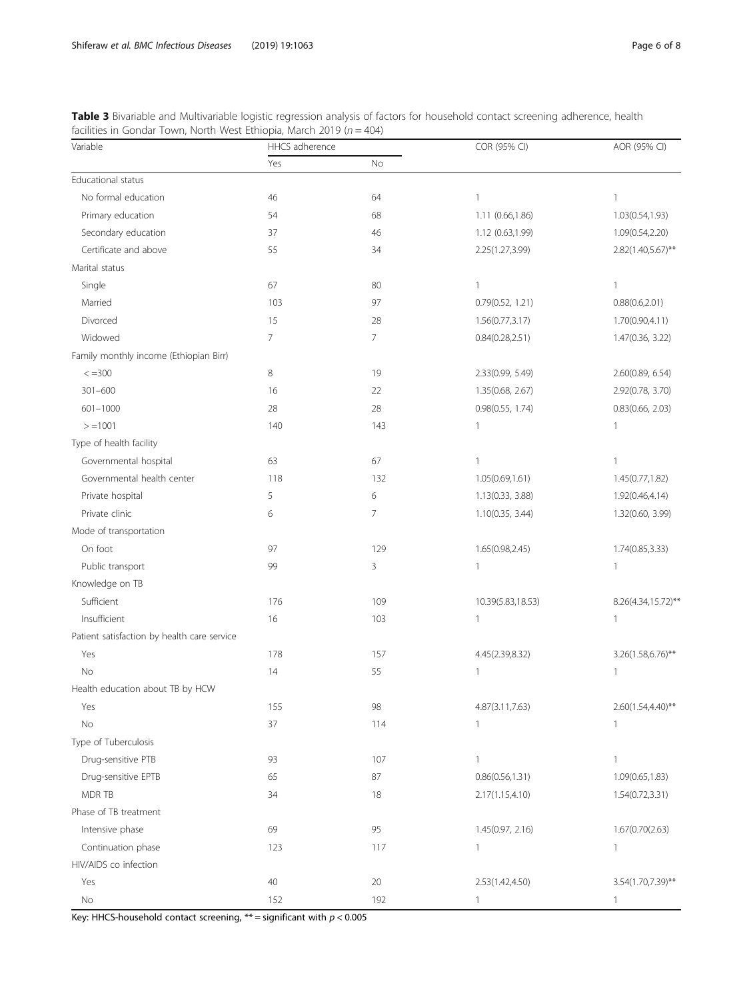<span id="page-5-0"></span>Table 3 Bivariable and Multivariable logistic regression analysis of factors for household contact screening adherence, health facilities in Gondar Town, North West Ethiopia, March 2019 ( $n = 404$ )

| Variable                                    | HHCS adherence |        | COR (95% CI)      | AOR (95% CI)       |
|---------------------------------------------|----------------|--------|-------------------|--------------------|
|                                             | Yes            | No     |                   |                    |
| Educational status                          |                |        |                   |                    |
| No formal education                         | 46             | 64     | $\mathbf{1}$      | $\mathbf{1}$       |
| Primary education                           | 54             | 68     | 1.11 (0.66,1.86)  | 1.03(0.54,1.93)    |
| Secondary education                         | 37             | 46     | 1.12 (0.63,1.99)  | 1.09(0.54,2.20)    |
| Certificate and above                       | 55             | 34     | 2.25(1.27,3.99)   | 2.82(1.40,5.67)**  |
| Marital status                              |                |        |                   |                    |
| Single                                      | 67             | 80     | $\mathbf{1}$      | 1                  |
| Married                                     | 103            | 97     | 0.79(0.52, 1.21)  | 0.88(0.6, 2.01)    |
| Divorced                                    | 15             | 28     | 1.56(0.77, 3.17)  | 1.70(0.90,4.11)    |
| Widowed                                     | 7              | 7      | 0.84(0.28, 2.51)  | 1.47(0.36, 3.22)   |
| Family monthly income (Ethiopian Birr)      |                |        |                   |                    |
| $\leq$ = 300                                | 8              | 19     | 2.33(0.99, 5.49)  | 2.60(0.89, 6.54)   |
| $301 - 600$                                 | 16             | 22     | 1.35(0.68, 2.67)  | 2.92(0.78, 3.70)   |
| $601 - 1000$                                | 28             | 28     | 0.98(0.55, 1.74)  | 0.83(0.66, 2.03)   |
| $> = 1001$                                  | 140            | 143    | $\overline{1}$    | $\mathbf{1}$       |
| Type of health facility                     |                |        |                   |                    |
| Governmental hospital                       | 63             | 67     | 1                 | $\mathbf{1}$       |
| Governmental health center                  | 118            | 132    | 1.05(0.69,1.61)   | 1.45(0.77,1.82)    |
| Private hospital                            | 5              | 6      | 1.13(0.33, 3.88)  | 1.92(0.46,4.14)    |
| Private clinic                              | 6              | 7      | 1.10(0.35, 3.44)  | 1.32(0.60, 3.99)   |
| Mode of transportation                      |                |        |                   |                    |
| On foot                                     | 97             | 129    | 1.65(0.98,2.45)   | 1.74(0.85,3.33)    |
| Public transport                            | 99             | 3      | $\mathbf{1}$      | $\mathbf{1}$       |
| Knowledge on TB                             |                |        |                   |                    |
| Sufficient                                  | 176            | 109    | 10.39(5.83,18.53) | 8.26(4.34,15.72)** |
| Insufficient                                | 16             | 103    | $\mathbf{1}$      | $\mathbf{1}$       |
| Patient satisfaction by health care service |                |        |                   |                    |
| Yes                                         | 178            | 157    | 4.45(2.39,8.32)   | 3.26(1.58,6.76)**  |
| No                                          | 14             | 55     | $\mathbf{1}$      | 1                  |
| Health education about TB by HCW            |                |        |                   |                    |
| Yes                                         | 155            | 98     | 4.87(3.11,7.63)   | 2.60(1.54,4.40)**  |
| No                                          | 37             | 114    | $\mathbf{1}$      | 1                  |
| Type of Tuberculosis                        |                |        |                   |                    |
| Drug-sensitive PTB                          | 93             | 107    | $\mathbf{1}$      | $\mathbf{1}$       |
| Drug-sensitive EPTB                         | 65             | 87     | 0.86(0.56, 1.31)  | 1.09(0.65, 1.83)   |
| MDR TB                                      | 34             | 18     | 2.17(1.15, 4.10)  | 1.54(0.72,3.31)    |
| Phase of TB treatment                       |                |        |                   |                    |
| Intensive phase                             | 69             | 95     | 1.45(0.97, 2.16)  | 1.67(0.70(2.63)    |
| Continuation phase                          | 123            | 117    | 1                 | 1                  |
| HIV/AIDS co infection                       |                |        |                   |                    |
| Yes                                         | 40             | $20\,$ | 2.53(1.42,4.50)   | 3.54(1.70,7.39)**  |
| $\rm No$                                    | 152            | 192    | $\mathbf{1}$      | $\mathbf{1}$       |

Key: HHCS-household contact screening,  $**$  = significant with  $p < 0.005$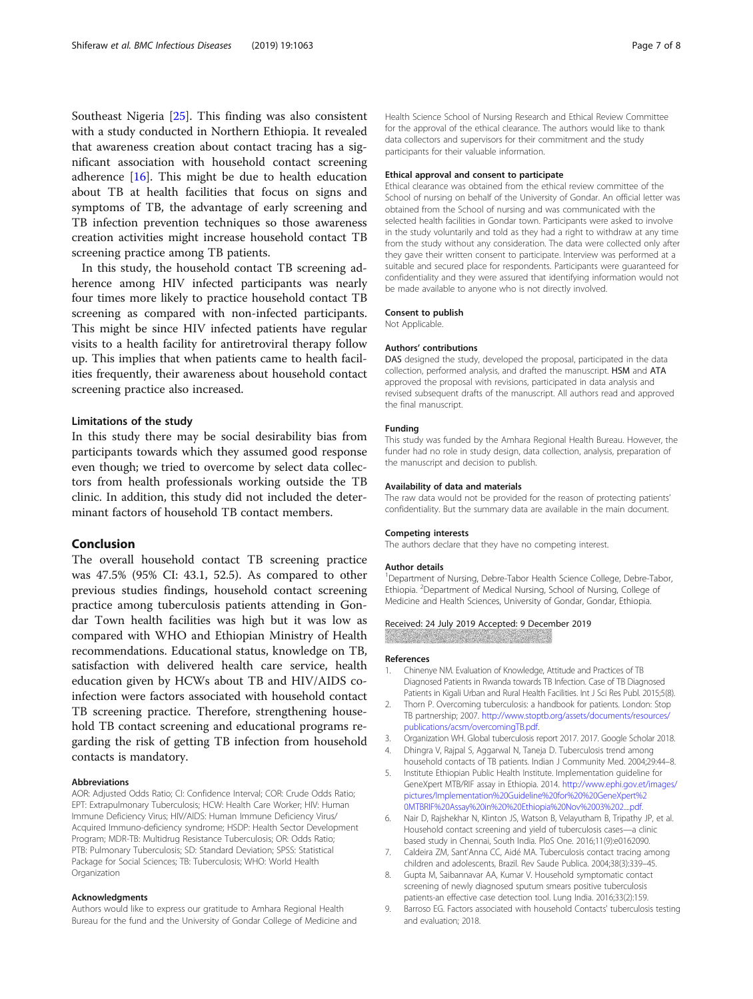<span id="page-6-0"></span>Southeast Nigeria [\[25\]](#page-7-0). This finding was also consistent with a study conducted in Northern Ethiopia. It revealed that awareness creation about contact tracing has a significant association with household contact screening adherence [[16\]](#page-7-0). This might be due to health education about TB at health facilities that focus on signs and symptoms of TB, the advantage of early screening and TB infection prevention techniques so those awareness creation activities might increase household contact TB screening practice among TB patients.

In this study, the household contact TB screening adherence among HIV infected participants was nearly four times more likely to practice household contact TB screening as compared with non-infected participants. This might be since HIV infected patients have regular visits to a health facility for antiretroviral therapy follow up. This implies that when patients came to health facilities frequently, their awareness about household contact screening practice also increased.

### Limitations of the study

In this study there may be social desirability bias from participants towards which they assumed good response even though; we tried to overcome by select data collectors from health professionals working outside the TB clinic. In addition, this study did not included the determinant factors of household TB contact members.

# Conclusion

The overall household contact TB screening practice was 47.5% (95% CI: 43.1, 52.5). As compared to other previous studies findings, household contact screening practice among tuberculosis patients attending in Gondar Town health facilities was high but it was low as compared with WHO and Ethiopian Ministry of Health recommendations. Educational status, knowledge on TB, satisfaction with delivered health care service, health education given by HCWs about TB and HIV/AIDS coinfection were factors associated with household contact TB screening practice. Therefore, strengthening household TB contact screening and educational programs regarding the risk of getting TB infection from household contacts is mandatory.

### Abbreviations

AOR: Adjusted Odds Ratio; CI: Confidence Interval; COR: Crude Odds Ratio; EPT: Extrapulmonary Tuberculosis; HCW: Health Care Worker; HIV: Human Immune Deficiency Virus; HIV/AIDS: Human Immune Deficiency Virus/ Acquired Immuno-deficiency syndrome; HSDP: Health Sector Development Program; MDR-TB: Multidrug Resistance Tuberculosis; OR: Odds Ratio; PTB: Pulmonary Tuberculosis; SD: Standard Deviation; SPSS: Statistical Package for Social Sciences; TB: Tuberculosis; WHO: World Health Organization

#### Acknowledgments

Authors would like to express our gratitude to Amhara Regional Health Bureau for the fund and the University of Gondar College of Medicine and Health Science School of Nursing Research and Ethical Review Committee for the approval of the ethical clearance. The authors would like to thank data collectors and supervisors for their commitment and the study participants for their valuable information.

#### Ethical approval and consent to participate

Ethical clearance was obtained from the ethical review committee of the School of nursing on behalf of the University of Gondar. An official letter was obtained from the School of nursing and was communicated with the selected health facilities in Gondar town. Participants were asked to involve in the study voluntarily and told as they had a right to withdraw at any time from the study without any consideration. The data were collected only after they gave their written consent to participate. Interview was performed at a suitable and secured place for respondents. Participants were guaranteed for confidentiality and they were assured that identifying information would not be made available to anyone who is not directly involved.

### Consent to publish

Not Applicable.

#### Authors' contributions

DAS designed the study, developed the proposal, participated in the data collection, performed analysis, and drafted the manuscript. HSM and ATA approved the proposal with revisions, participated in data analysis and revised subsequent drafts of the manuscript. All authors read and approved the final manuscript.

### Funding

This study was funded by the Amhara Regional Health Bureau. However, the funder had no role in study design, data collection, analysis, preparation of the manuscript and decision to publish.

#### Availability of data and materials

The raw data would not be provided for the reason of protecting patients' confidentiality. But the summary data are available in the main document.

#### Competing interests

The authors declare that they have no competing interest.

#### Author details

<sup>1</sup>Department of Nursing, Debre-Tabor Health Science College, Debre-Tabor, Ethiopia. <sup>2</sup> Department of Medical Nursing, School of Nursing, College of Medicine and Health Sciences, University of Gondar, Gondar, Ethiopia.

### Received: 24 July 2019 Accepted: 9 December 2019

#### References

- 1. Chinenye NM. Evaluation of Knowledge, Attitude and Practices of TB Diagnosed Patients in Rwanda towards TB Infection. Case of TB Diagnosed Patients in Kigali Urban and Rural Health Facilities. Int J Sci Res Publ. 2015;5(8).
- 2. Thorn P. Overcoming tuberculosis: a handbook for patients. London: Stop TB partnership; 2007. [http://www.stoptb.org/assets/documents/resources/](http://www.stoptb.org/assets/documents/resources/publications/acsm/overcomingTB.pdf) [publications/acsm/overcomingTB.pdf.](http://www.stoptb.org/assets/documents/resources/publications/acsm/overcomingTB.pdf)
- 3. Organization WH. Global tuberculosis report 2017. 2017. Google Scholar 2018.
- 4. Dhingra V, Rajpal S, Aggarwal N, Taneja D. Tuberculosis trend among household contacts of TB patients. Indian J Community Med. 2004;29:44–8.
- 5. Institute Ethiopian Public Health Institute. Implementation guideline for GeneXpert MTB/RIF assay in Ethiopia. 2014. [http://www.ephi.gov.et/images/](http://www.ephi.gov.et/images/pictures/Implementation%20Guideline%20for%20%20GeneXpert%20MTBRIF%20Assay%20in%20%20Ethiopia%20Nov%2003%202....pdf) [pictures/Implementation%20Guideline%20for%20%20GeneXpert%2](http://www.ephi.gov.et/images/pictures/Implementation%20Guideline%20for%20%20GeneXpert%20MTBRIF%20Assay%20in%20%20Ethiopia%20Nov%2003%202....pdf) [0MTBRIF%20Assay%20in%20%20Ethiopia%20Nov%2003%202....pdf.](http://www.ephi.gov.et/images/pictures/Implementation%20Guideline%20for%20%20GeneXpert%20MTBRIF%20Assay%20in%20%20Ethiopia%20Nov%2003%202....pdf)
- Nair D, Rajshekhar N, Klinton JS, Watson B, Velayutham B, Tripathy JP, et al. Household contact screening and yield of tuberculosis cases—a clinic based study in Chennai, South India. PloS One. 2016;11(9):e0162090.
- 7. Caldeira ZM, Sant'Anna CC, Aidé MA. Tuberculosis contact tracing among children and adolescents, Brazil. Rev Saude Publica. 2004;38(3):339–45.
- 8. Gupta M, Saibannavar AA, Kumar V. Household symptomatic contact screening of newly diagnosed sputum smears positive tuberculosis patients-an effective case detection tool. Lung India. 2016;33(2):159.
- 9. Barroso EG. Factors associated with household Contacts' tuberculosis testing and evaluation; 2018.